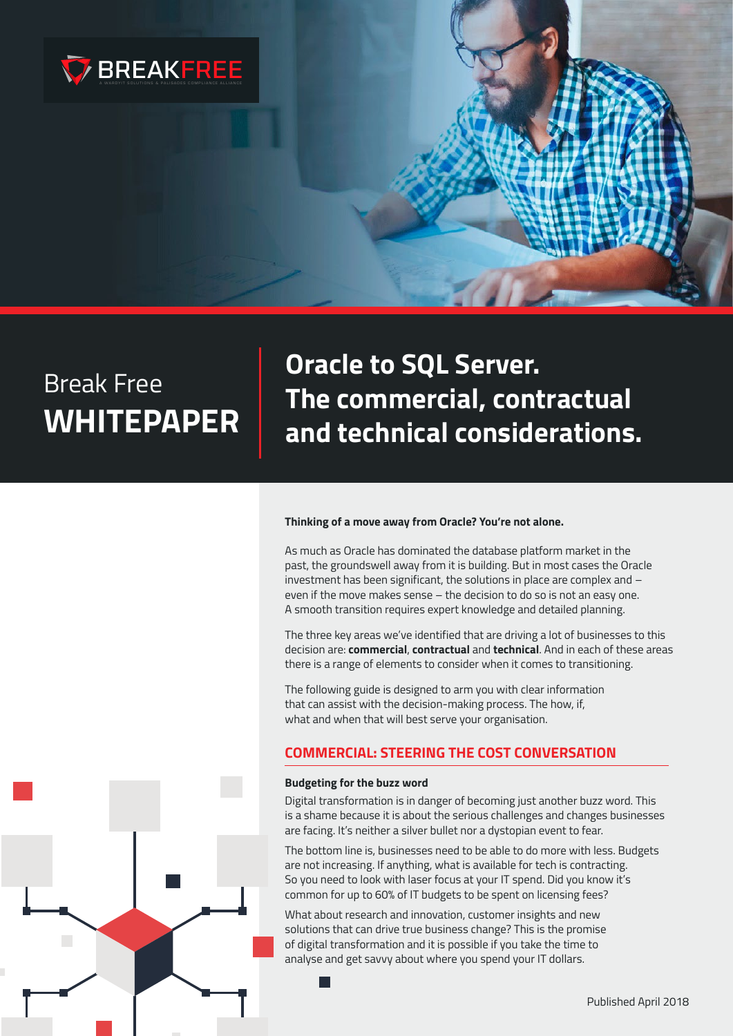

**Oracle to SQL Server. The commercial, contractual and technical considerations.**

#### **Thinking of a move away from Oracle? You're not alone.**

As much as Oracle has dominated the database platform market in the past, the groundswell away from it is building. But in most cases the Oracle investment has been significant, the solutions in place are complex and – even if the move makes sense – the decision to do so is not an easy one. A smooth transition requires expert knowledge and detailed planning.

The three key areas we've identified that are driving a lot of businesses to this decision are: **commercial**, **contractual** and **technical**. And in each of these areas there is a range of elements to consider when it comes to transitioning.

The following guide is designed to arm you with clear information that can assist with the decision-making process. The how, if, what and when that will best serve your organisation.

#### **COMMERCIAL: STEERING THE COST CONVERSATION**

#### **Budgeting for the buzz word**

Digital transformation is in danger of becoming just another buzz word. This is a shame because it is about the serious challenges and changes businesses are facing. It's neither a silver bullet nor a dystopian event to fear.

The bottom line is, businesses need to be able to do more with less. Budgets are not increasing. If anything, what is available for tech is contracting. So you need to look with laser focus at your IT spend. Did you know it's common for up to 60% of IT budgets to be spent on licensing fees?

What about research and innovation, customer insights and new solutions that can drive true business change? This is the promise of digital transformation and it is possible if you take the time to analyse and get savvy about where you spend your IT dollars.

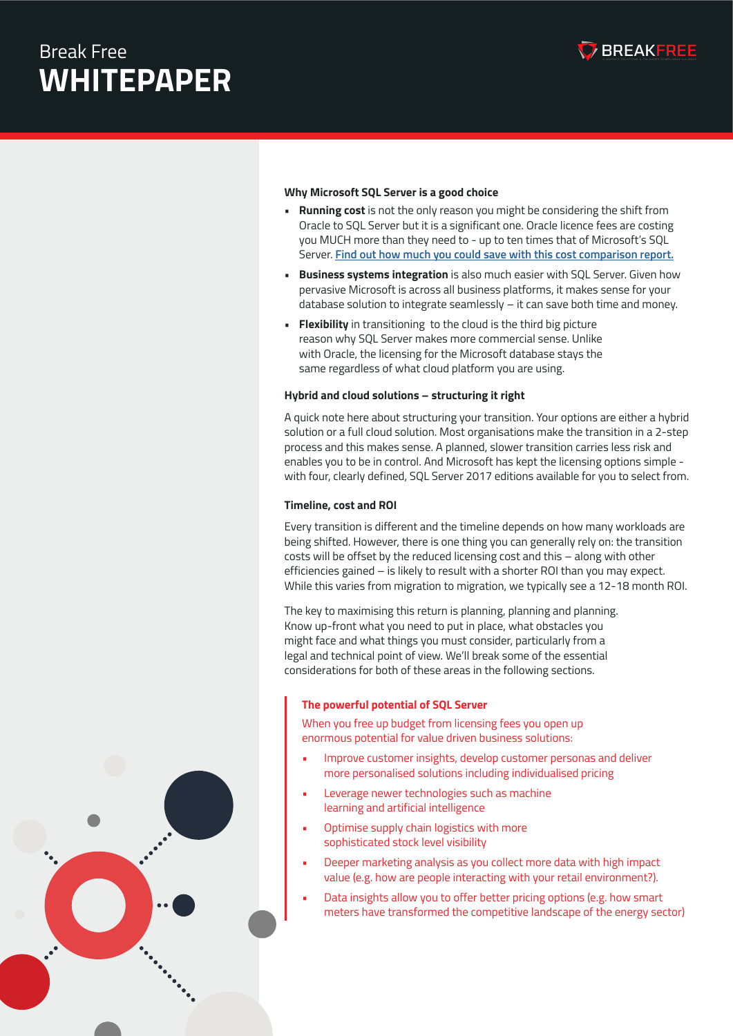

#### **Why Microsoft SQL Server is a good choice**

- **• Running cost** is not the only reason you might be considering the shift from Oracle to SQL Server but it is a significant one. Oracle licence fees are costing **BREAK FREE FROM ORACLE STYLE GUIDE**you MUCH more than they need to - up to ten times that of Microsoft's SQL Server. **[Find out how much you could save with this cost comparison report.](http://hub.wardyit.com/oracle-database-to-sql-server-cost-comparison)**
- **• Business systems integration** is also much easier with SQL Server. Given how pervasive Microsoft is across all business platforms, it makes sense for your database solution to integrate seamlessly – it can save both time and money.
- **• Flexibility** in transitioning to the cloud is the third big picture reason why SQL Server makes more commercial sense. Unlike with Oracle, the licensing for the Microsoft database stays the same regardless of what cloud platform you are using.

#### **Hybrid and cloud solutions – structuring it right**

A quick note here about structuring your transition. Your options are either a hybrid solution or a full cloud solution. Most organisations make the transition in a 2-step process and this makes sense. A planned, slower transition carries less risk and enables you to be in control. And Microsoft has kept the licensing options simple with four, clearly defined, SQL Server 2017 editions available for you to select from.

#### **Timeline, cost and ROI**

Every transition is different and the timeline depends on how many workloads are being shifted. However, there is one thing you can generally rely on: the transition costs will be offset by the reduced licensing cost and this – along with other efficiencies gained – is likely to result with a shorter ROI than you may expect. While this varies from migration to migration, we typically see a 12-18 month ROI.

The key to maximising this return is planning, planning and planning. Know up-front what you need to put in place, what obstacles you might face and what things you must consider, particularly from a legal and technical point of view. We'll break some of the essential considerations for both of these areas in the following sections.

#### **The powerful potential of SQL Server**

When you free up budget from licensing fees you open up enormous potential for value driven business solutions:

- Improve customer insights, develop customer personas and deliver more personalised solutions including individualised pricing
- Leverage newer technologies such as machine learning and artificial intelligence
- Optimise supply chain logistics with more sophisticated stock level visibility
- Deeper marketing analysis as you collect more data with high impact value (e.g. how are people interacting with your retail environment?).
- Data insights allow you to offer better pricing options (e.g. how smart meters have transformed the competitive landscape of the energy sector)

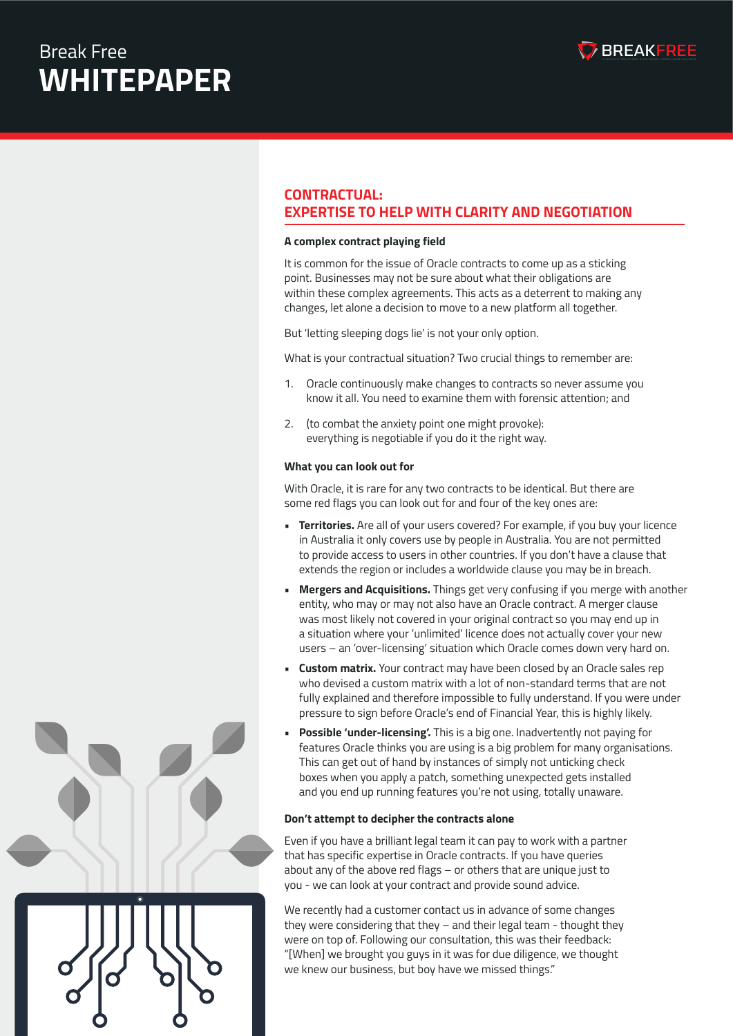

#### **CONTRACTUAL: EXPERTISE TO HELP WITH CLARITY AND NEGOTIATION**

**BREAK FREE FROM ORACLE**

### **A complex contract playing field STYLE GUIDE**

It is common for the issue of Oracle contracts to come up as a sticking point. Businesses may not be sure about what their obligations are within these complex agreements. This acts as a deterrent to making any changes, let alone a decision to move to a new platform all together.

But 'letting sleeping dogs lie' is not your only option.

What is your contractual situation? Two crucial things to remember are:

- 1. Oracle continuously make changes to contracts so never assume you know it all. You need to examine them with forensic attention; and
- 2. (to combat the anxiety point one might provoke): everything is negotiable if you do it the right way.

#### **What you can look out for**

With Oracle, it is rare for any two contracts to be identical. But there are some red flags you can look out for and four of the key ones are:

- **• Territories.** Are all of your users covered? For example, if you buy your licence in Australia it only covers use by people in Australia. You are not permitted to provide access to users in other countries. If you don't have a clause that extends the region or includes a worldwide clause you may be in breach.
- **• Mergers and Acquisitions.** Things get very confusing if you merge with another entity, who may or may not also have an Oracle contract. A merger clause was most likely not covered in your original contract so you may end up in a situation where your 'unlimited' licence does not actually cover your new users – an 'over-licensing' situation which Oracle comes down very hard on.
- **• Custom matrix.** Your contract may have been closed by an Oracle sales rep who devised a custom matrix with a lot of non-standard terms that are not fully explained and therefore impossible to fully understand. If you were under pressure to sign before Oracle's end of Financial Year, this is highly likely.
- **• Possible 'under-licensing'.** This is a big one. Inadvertently not paying for features Oracle thinks you are using is a big problem for many organisations. This can get out of hand by instances of simply not unticking check boxes when you apply a patch, something unexpected gets installed and you end up running features you're not using, totally unaware.

#### **Don't attempt to decipher the contracts alone**

Even if you have a brilliant legal team it can pay to work with a partner that has specific expertise in Oracle contracts. If you have queries about any of the above red flags – or others that are unique just to you - we can look at your contract and provide sound advice.

We recently had a customer contact us in advance of some changes they were considering that they – and their legal team - thought they were on top of. Following our consultation, this was their feedback: "[When] we brought you guys in it was for due diligence, we thought we knew our business, but boy have we missed things."



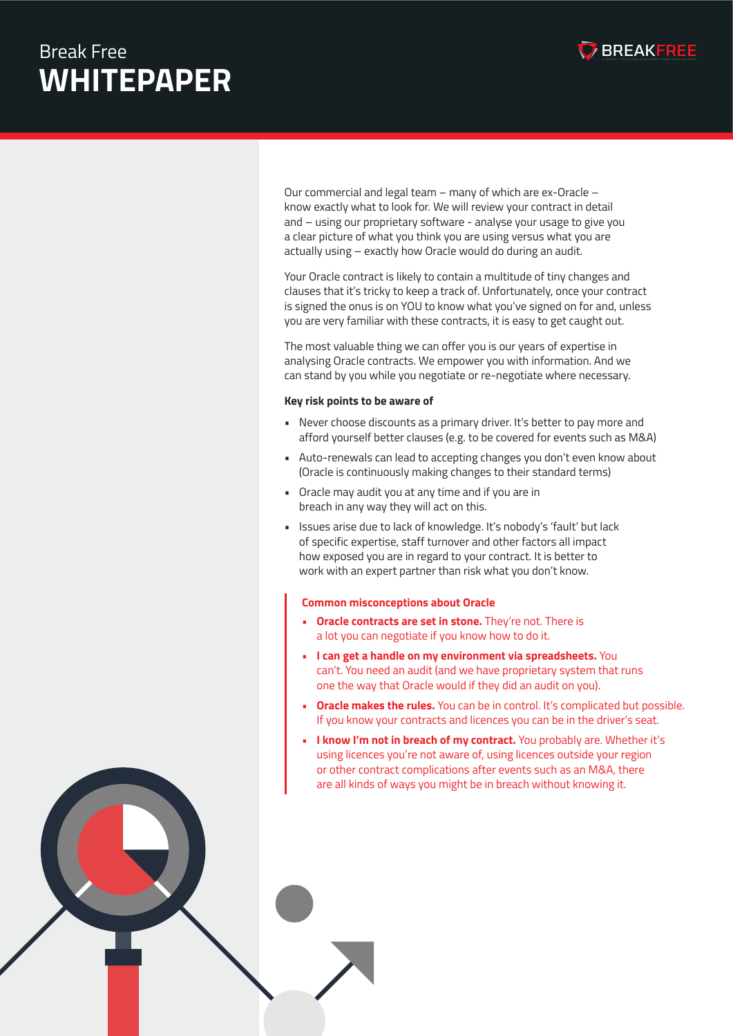

and – using our proprietary software - analyse your usage to give you a clear picture of what you think you are using versus what you are Our commercial and legal team – many of which are ex-Oracle – know exactly what to look for. We will review your contract in detail actually using – exactly how Oracle would do during an audit.

Your Oracle contract is likely to contain a multitude of tiny changes and clauses that it's tricky to keep a track of. Unfortunately, once your contract is signed the onus is on YOU to know what you've signed on for and, unless you are very familiar with these contracts, it is easy to get caught out.

The most valuable thing we can offer you is our years of expertise in analysing Oracle contracts. We empower you with information. And we can stand by you while you negotiate or re-negotiate where necessary.

#### **Key risk points to be aware of**

- Never choose discounts as a primary driver. It's better to pay more and afford yourself better clauses (e.g. to be covered for events such as M&A)
- Auto-renewals can lead to accepting changes you don't even know about (Oracle is continuously making changes to their standard terms)
- Oracle may audit you at any time and if you are in breach in any way they will act on this.
- Issues arise due to lack of knowledge. It's nobody's 'fault' but lack of specific expertise, staff turnover and other factors all impact how exposed you are in regard to your contract. It is better to work with an expert partner than risk what you don't know.

#### **Common misconceptions about Oracle**

- **Oracle contracts are set in stone.** They're not. There is a lot you can negotiate if you know how to do it.
- **• I can get a handle on my environment via spreadsheets.** You can't. You need an audit (and we have proprietary system that runs one the way that Oracle would if they did an audit on you).
- **• Oracle makes the rules.** You can be in control. It's complicated but possible. If you know your contracts and licences you can be in the driver's seat.
- **• I know I'm not in breach of my contract.** You probably are. Whether it's using licences you're not aware of, using licences outside your region or other contract complications after events such as an M&A, there are all kinds of ways you might be in breach without knowing it.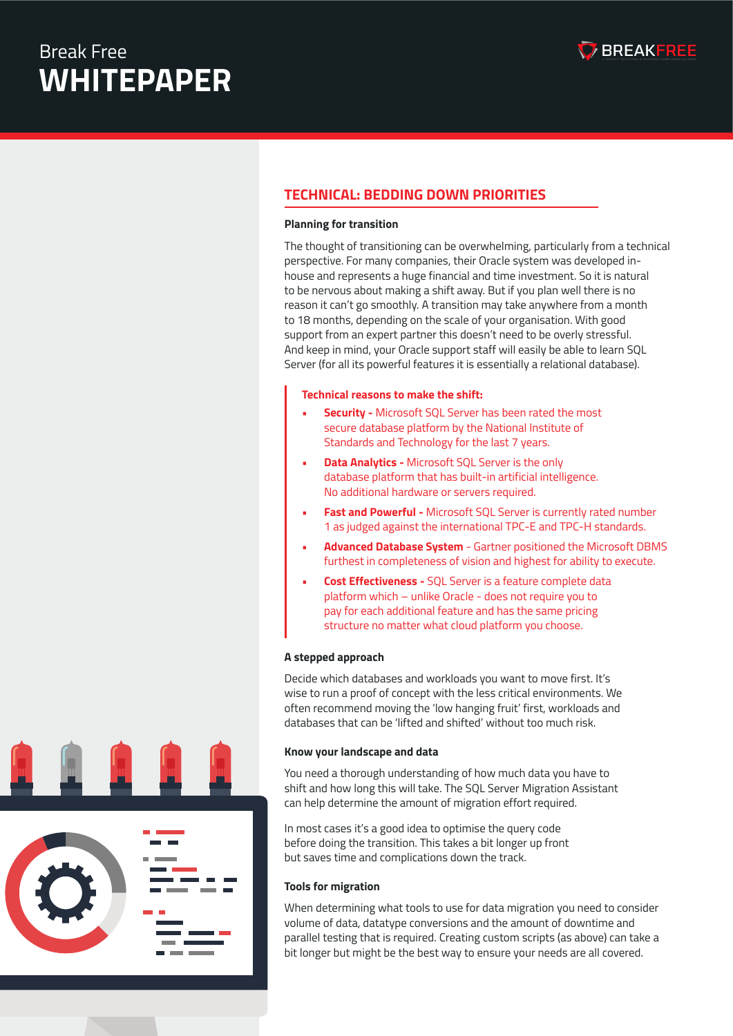

### **TECHNICAL: BEDDING DOWN PRIORITIES**

#### **BREAK FREE FROM ORACLE Planning for transition**

The thought of transitioning can be overwhelming, particularly from a technical perspective. For many companies, their Oracle system was developed inhouse and represents a huge financial and time investment. So it is natural to be nervous about making a shift away. But if you plan well there is no reason it can't go smoothly. A transition may take anywhere from a month to 18 months, depending on the scale of your organisation. With good support from an expert partner this doesn't need to be overly stressful. And keep in mind, your Oracle support staff will easily be able to learn SQL Server (for all its powerful features it is essentially a relational database).

#### **Technical reasons to make the shift:**

- **• Security** Microsoft SQL Server has been rated the most secure database platform by the National Institute of Standards and Technology for the last 7 years.
- **• Data Analytics** Microsoft SQL Server is the only database platform that has built-in artificial intelligence. No additional hardware or servers required.
- **• Fast and Powerful** Microsoft SQL Server is currently rated number 1 as judged against the international TPC-E and TPC-H standards.
- **• Advanced Database System** Gartner positioned the Microsoft DBMS furthest in completeness of vision and highest for ability to execute.
- **• Cost Effectiveness** SQL Server is a feature complete data platform which – unlike Oracle - does not require you to pay for each additional feature and has the same pricing structure no matter what cloud platform you choose.

#### **A stepped approach**

Decide which databases and workloads you want to move first. It's wise to run a proof of concept with the less critical environments. We often recommend moving the 'low hanging fruit' first, workloads and databases that can be 'lifted and shifted' without too much risk.

#### **Know your landscape and data**

You need a thorough understanding of how much data you have to shift and how long this will take. The SQL Server Migration Assistant can help determine the amount of migration effort required.

In most cases it's a good idea to optimise the query code before doing the transition. This takes a bit longer up front but saves time and complications down the track.

#### **Tools for migration**

When determining what tools to use for data migration you need to consider volume of data, datatype conversions and the amount of downtime and parallel testing that is required. Creating custom scripts (as above) can take a bit longer but might be the best way to ensure your needs are all covered.